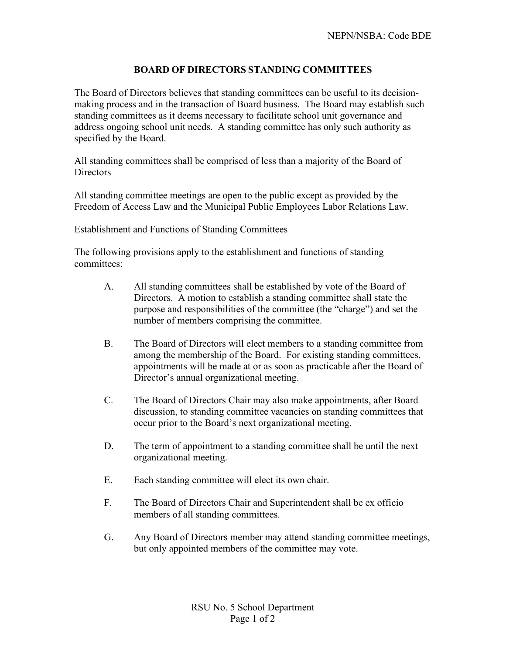## **BOARD OF DIRECTORS STANDING COMMITTEES**

The Board of Directors believes that standing committees can be useful to its decisionmaking process and in the transaction of Board business. The Board may establish such standing committees as it deems necessary to facilitate school unit governance and address ongoing school unit needs. A standing committee has only such authority as specified by the Board.

All standing committees shall be comprised of less than a majority of the Board of **Directors** 

All standing committee meetings are open to the public except as provided by the Freedom of Access Law and the Municipal Public Employees Labor Relations Law.

## Establishment and Functions of Standing Committees

The following provisions apply to the establishment and functions of standing committees:

- A. All standing committees shall be established by vote of the Board of Directors. A motion to establish a standing committee shall state the purpose and responsibilities of the committee (the "charge") and set the number of members comprising the committee.
- B. The Board of Directors will elect members to a standing committee from among the membership of the Board. For existing standing committees, appointments will be made at or as soon as practicable after the Board of Director's annual organizational meeting.
- C. The Board of Directors Chair may also make appointments, after Board discussion, to standing committee vacancies on standing committees that occur prior to the Board's next organizational meeting.
- D. The term of appointment to a standing committee shall be until the next organizational meeting.
- E. Each standing committee will elect its own chair.
- F. The Board of Directors Chair and Superintendent shall be ex officio members of all standing committees.
- G. Any Board of Directors member may attend standing committee meetings, but only appointed members of the committee may vote.